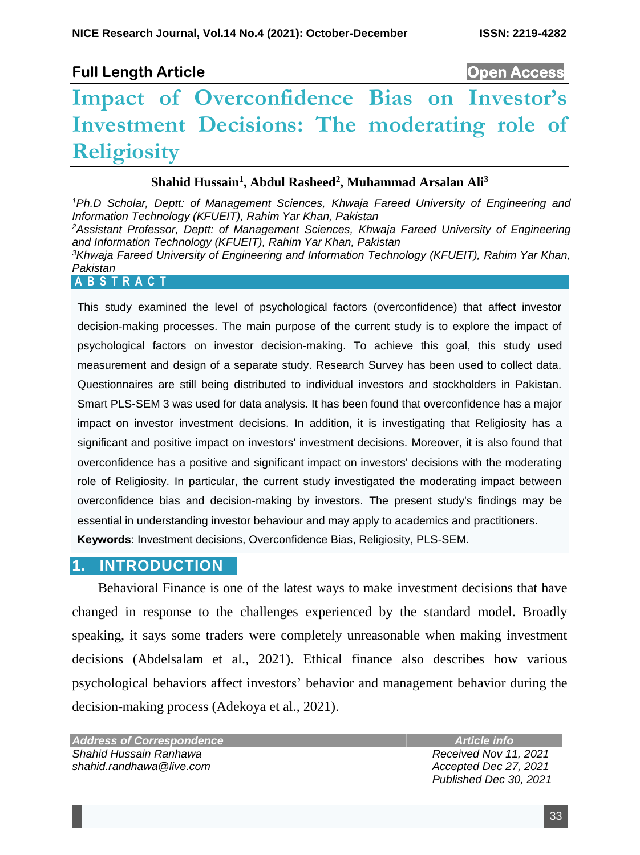# **Full Length Article Open Access**

# **Impact of Overconfidence Bias on Investor's Investment Decisions: The moderating role of Religiosity**

#### **Shahid Hussain<sup>1</sup> , Abdul Rasheed<sup>2</sup> , Muhammad Arsalan Ali<sup>3</sup>**

*<sup>1</sup>Ph.D Scholar, Deptt: of Management Sciences, Khwaja Fareed University of Engineering and Information Technology (KFUEIT), Rahim Yar Khan, Pakistan <sup>2</sup>Assistant Professor, Deptt: of Management Sciences, Khwaja Fareed University of Engineering and Information Technology (KFUEIT), Rahim Yar Khan, Pakistan <sup>3</sup>Khwaja Fareed University of Engineering and Information Technology (KFUEIT), Rahim Yar Khan, Pakistan* **A B S T R A C T**

This study examined the level of psychological factors (overconfidence) that affect investor decision-making processes. The main purpose of the current study is to explore the impact of psychological factors on investor decision-making. To achieve this goal, this study used measurement and design of a separate study. Research Survey has been used to collect data. Questionnaires are still being distributed to individual investors and stockholders in Pakistan. Smart PLS-SEM 3 was used for data analysis. It has been found that overconfidence has a major impact on investor investment decisions. In addition, it is investigating that Religiosity has a significant and positive impact on investors' investment decisions. Moreover, it is also found that overconfidence has a positive and significant impact on investors' decisions with the moderating role of Religiosity. In particular, the current study investigated the moderating impact between overconfidence bias and decision-making by investors. The present study's findings may be essential in understanding investor behaviour and may apply to academics and practitioners. **Keywords**: Investment decisions, Overconfidence Bias, Religiosity, PLS-SEM.

## **1. INTRODUCTION**

Behavioral Finance is one of the latest ways to make investment decisions that have changed in response to the challenges experienced by the standard model. Broadly speaking, it says some traders were completely unreasonable when making investment decisions (Abdelsalam et al., 2021). Ethical finance also describes how various psychological behaviors affect investors' behavior and management behavior during the decision-making process (Adekoya et al., 2021).

*Address of Correspondence Shahid Hussain Ranhawa shahid.randhawa@live.com*

 *Article info*

 *Received Nov 11, 2021 Accepted Dec 27, 2021 Published Dec 30, 2021*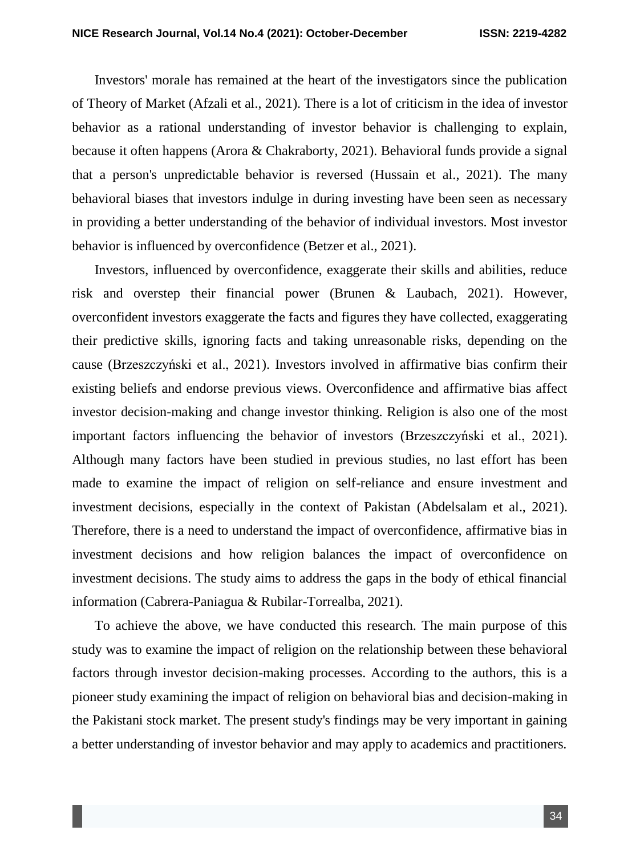Investors' morale has remained at the heart of the investigators since the publication of Theory of Market (Afzali et al., 2021). There is a lot of criticism in the idea of investor behavior as a rational understanding of investor behavior is challenging to explain, because it often happens (Arora & Chakraborty, 2021). Behavioral funds provide a signal that a person's unpredictable behavior is reversed (Hussain et al., 2021). The many behavioral biases that investors indulge in during investing have been seen as necessary in providing a better understanding of the behavior of individual investors. Most investor behavior is influenced by overconfidence (Betzer et al., 2021).

Investors, influenced by overconfidence, exaggerate their skills and abilities, reduce risk and overstep their financial power (Brunen & Laubach, 2021). However, overconfident investors exaggerate the facts and figures they have collected, exaggerating their predictive skills, ignoring facts and taking unreasonable risks, depending on the cause (Brzeszczyński et al., 2021). Investors involved in affirmative bias confirm their existing beliefs and endorse previous views. Overconfidence and affirmative bias affect investor decision-making and change investor thinking. Religion is also one of the most important factors influencing the behavior of investors (Brzeszczyński et al., 2021). Although many factors have been studied in previous studies, no last effort has been made to examine the impact of religion on self-reliance and ensure investment and investment decisions, especially in the context of Pakistan (Abdelsalam et al., 2021). Therefore, there is a need to understand the impact of overconfidence, affirmative bias in investment decisions and how religion balances the impact of overconfidence on investment decisions. The study aims to address the gaps in the body of ethical financial information (Cabrera-Paniagua & Rubilar-Torrealba, 2021).

To achieve the above, we have conducted this research. The main purpose of this study was to examine the impact of religion on the relationship between these behavioral factors through investor decision-making processes. According to the authors, this is a pioneer study examining the impact of religion on behavioral bias and decision-making in the Pakistani stock market. The present study's findings may be very important in gaining a better understanding of investor behavior and may apply to academics and practitioners.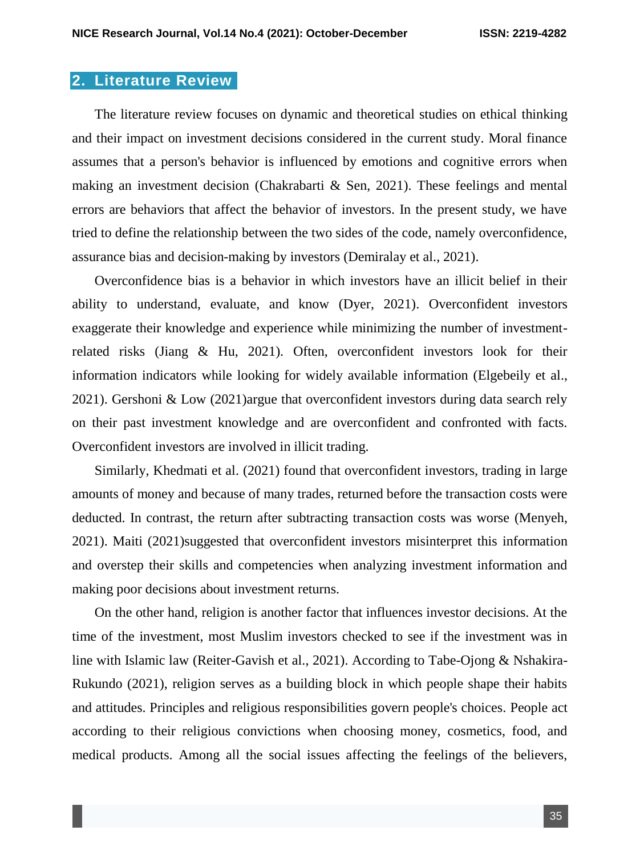#### **2. Literature Review**

The literature review focuses on dynamic and theoretical studies on ethical thinking and their impact on investment decisions considered in the current study. Moral finance assumes that a person's behavior is influenced by emotions and cognitive errors when making an investment decision (Chakrabarti & Sen, 2021). These feelings and mental errors are behaviors that affect the behavior of investors. In the present study, we have tried to define the relationship between the two sides of the code, namely overconfidence, assurance bias and decision-making by investors (Demiralay et al., 2021).

Overconfidence bias is a behavior in which investors have an illicit belief in their ability to understand, evaluate, and know (Dyer, 2021). Overconfident investors exaggerate their knowledge and experience while minimizing the number of investmentrelated risks (Jiang & Hu, 2021). Often, overconfident investors look for their information indicators while looking for widely available information (Elgebeily et al., 2021). Gershoni & Low (2021)argue that overconfident investors during data search rely on their past investment knowledge and are overconfident and confronted with facts. Overconfident investors are involved in illicit trading.

Similarly, Khedmati et al. (2021) found that overconfident investors, trading in large amounts of money and because of many trades, returned before the transaction costs were deducted. In contrast, the return after subtracting transaction costs was worse (Menyeh, 2021). Maiti (2021)suggested that overconfident investors misinterpret this information and overstep their skills and competencies when analyzing investment information and making poor decisions about investment returns.

On the other hand, religion is another factor that influences investor decisions. At the time of the investment, most Muslim investors checked to see if the investment was in line with Islamic law (Reiter-Gavish et al., 2021). According to Tabe-Ojong & Nshakira-Rukundo (2021), religion serves as a building block in which people shape their habits and attitudes. Principles and religious responsibilities govern people's choices. People act according to their religious convictions when choosing money, cosmetics, food, and medical products. Among all the social issues affecting the feelings of the believers,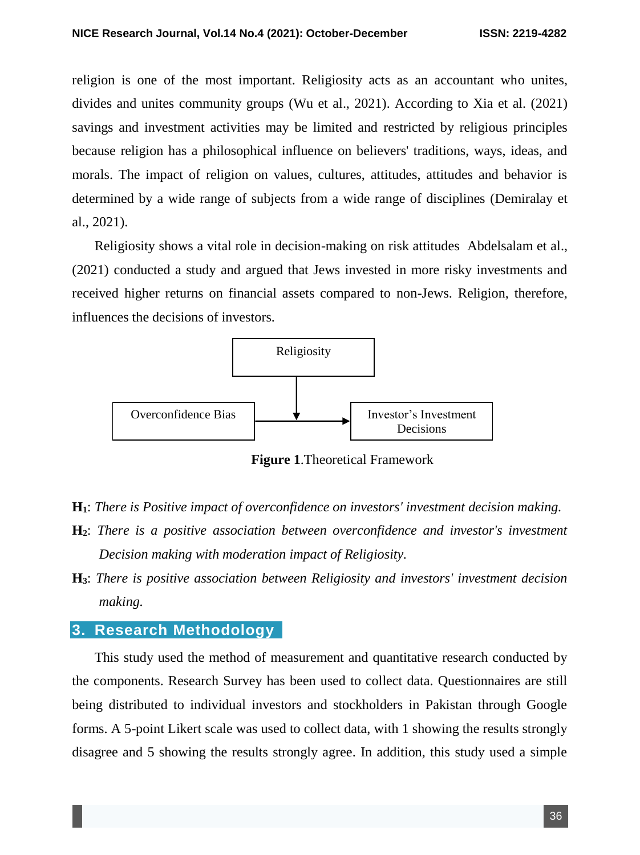religion is one of the most important. Religiosity acts as an accountant who unites, divides and unites community groups (Wu et al., 2021). According to Xia et al. (2021) savings and investment activities may be limited and restricted by religious principles because religion has a philosophical influence on believers' traditions, ways, ideas, and morals. The impact of religion on values, cultures, attitudes, attitudes and behavior is determined by a wide range of subjects from a wide range of disciplines (Demiralay et al., 2021).

Religiosity shows a vital role in decision-making on risk attitudes Abdelsalam et al., (2021) conducted a study and argued that Jews invested in more risky investments and received higher returns on financial assets compared to non-Jews. Religion, therefore, influences the decisions of investors.



**Figure 1**.Theoretical Framework

- **H1**: *There is Positive impact of overconfidence on investors' investment decision making.*
- **H2**: *There is a positive association between overconfidence and investor's investment Decision making with moderation impact of Religiosity.*
- **H3**: *There is positive association between Religiosity and investors' investment decision making.*

### **3. Research Methodology**

This study used the method of measurement and quantitative research conducted by the components. Research Survey has been used to collect data. Questionnaires are still being distributed to individual investors and stockholders in Pakistan through Google forms. A 5-point Likert scale was used to collect data, with 1 showing the results strongly disagree and 5 showing the results strongly agree. In addition, this study used a simple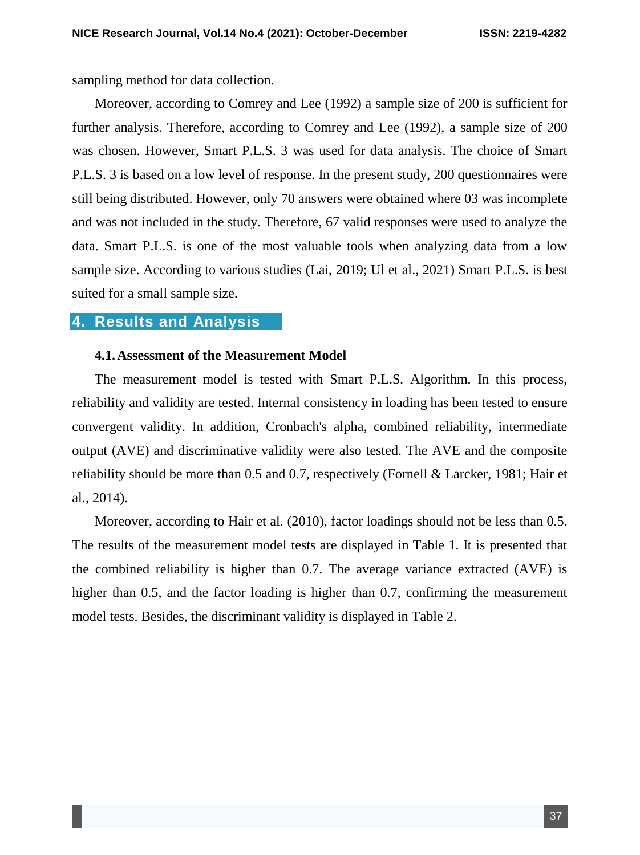sampling method for data collection.

Moreover, according to Comrey and Lee (1992) a sample size of 200 is sufficient for further analysis. Therefore, according to Comrey and Lee (1992), a sample size of 200 was chosen. However, Smart P.L.S. 3 was used for data analysis. The choice of Smart P.L.S. 3 is based on a low level of response. In the present study, 200 questionnaires were still being distributed. However, only 70 answers were obtained where 03 was incomplete and was not included in the study. Therefore, 67 valid responses were used to analyze the data. Smart P.L.S. is one of the most valuable tools when analyzing data from a low sample size. According to various studies (Lai, 2019; Ul et al., 2021) Smart P.L.S. is best suited for a small sample size.

### **4. Results and Analysis**

#### **4.1.Assessment of the Measurement Model**

The measurement model is tested with Smart P.L.S. Algorithm. In this process, reliability and validity are tested. Internal consistency in loading has been tested to ensure convergent validity. In addition, Cronbach's alpha, combined reliability, intermediate output (AVE) and discriminative validity were also tested. The AVE and the composite reliability should be more than 0.5 and 0.7, respectively (Fornell & Larcker, 1981; Hair et al., 2014).

Moreover, according to Hair et al. (2010), factor loadings should not be less than 0.5. The results of the measurement model tests are displayed in Table 1. It is presented that the combined reliability is higher than 0.7. The average variance extracted (AVE) is higher than 0.5, and the factor loading is higher than 0.7, confirming the measurement model tests. Besides, the discriminant validity is displayed in Table 2.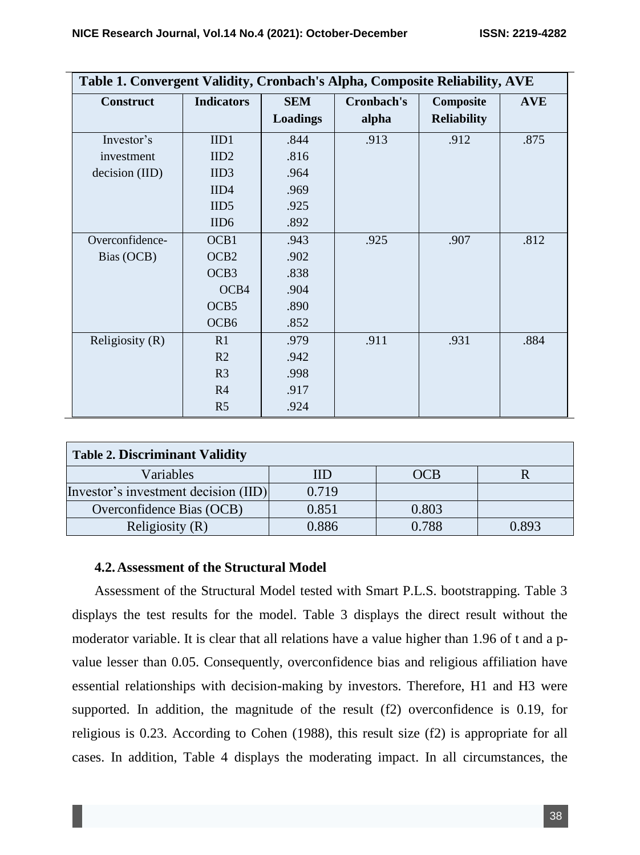| Table 1. Convergent Validity, Cronbach's Alpha, Composite Reliability, AVE |                   |                               |                     |                                 |            |
|----------------------------------------------------------------------------|-------------------|-------------------------------|---------------------|---------------------------------|------------|
| <b>Construct</b>                                                           | <b>Indicators</b> | <b>SEM</b><br><b>Loadings</b> | Cronbach's<br>alpha | Composite<br><b>Reliability</b> | <b>AVE</b> |
|                                                                            |                   |                               |                     |                                 |            |
| Investor's                                                                 | IID1              | .844                          | .913                | .912                            | .875       |
| investment                                                                 | IID2              | .816                          |                     |                                 |            |
| decision (IID)                                                             | IID3              | .964                          |                     |                                 |            |
|                                                                            | IID4              | .969                          |                     |                                 |            |
|                                                                            | IID <sub>5</sub>  | .925                          |                     |                                 |            |
|                                                                            | IID <sub>6</sub>  | .892                          |                     |                                 |            |
| Overconfidence-                                                            | OCB1              | .943                          | .925                | .907                            | .812       |
| Bias (OCB)                                                                 | OCB <sub>2</sub>  | .902                          |                     |                                 |            |
|                                                                            | OCB <sub>3</sub>  | .838                          |                     |                                 |            |
|                                                                            | OCB4              | .904                          |                     |                                 |            |
|                                                                            | OCB <sub>5</sub>  | .890                          |                     |                                 |            |
|                                                                            | OCB <sub>6</sub>  | .852                          |                     |                                 |            |
| Religiosity (R)                                                            | R1                | .979                          | .911                | .931                            | .884       |
|                                                                            | R <sub>2</sub>    | .942                          |                     |                                 |            |
|                                                                            | R <sub>3</sub>    | .998                          |                     |                                 |            |
|                                                                            | R <sub>4</sub>    | .917                          |                     |                                 |            |
|                                                                            | R <sub>5</sub>    | .924                          |                     |                                 |            |

| <b>Table 2. Discriminant Validity</b> |       |       |       |  |  |
|---------------------------------------|-------|-------|-------|--|--|
| Variables                             | IID   | OCB   |       |  |  |
| Investor's investment decision (IID)  | 0.719 |       |       |  |  |
| Overconfidence Bias (OCB)             | 0.851 | 0.803 |       |  |  |
| Religiosity $(R)$                     | 0.886 | 0.788 | ገ Ջዓ3 |  |  |

#### **4.2.Assessment of the Structural Model**

Assessment of the Structural Model tested with Smart P.L.S. bootstrapping. Table 3 displays the test results for the model. Table 3 displays the direct result without the moderator variable. It is clear that all relations have a value higher than 1.96 of t and a pvalue lesser than 0.05. Consequently, overconfidence bias and religious affiliation have essential relationships with decision-making by investors. Therefore, H1 and H3 were supported. In addition, the magnitude of the result (f2) overconfidence is 0.19, for religious is 0.23. According to Cohen (1988), this result size (f2) is appropriate for all cases. In addition, Table 4 displays the moderating impact. In all circumstances, the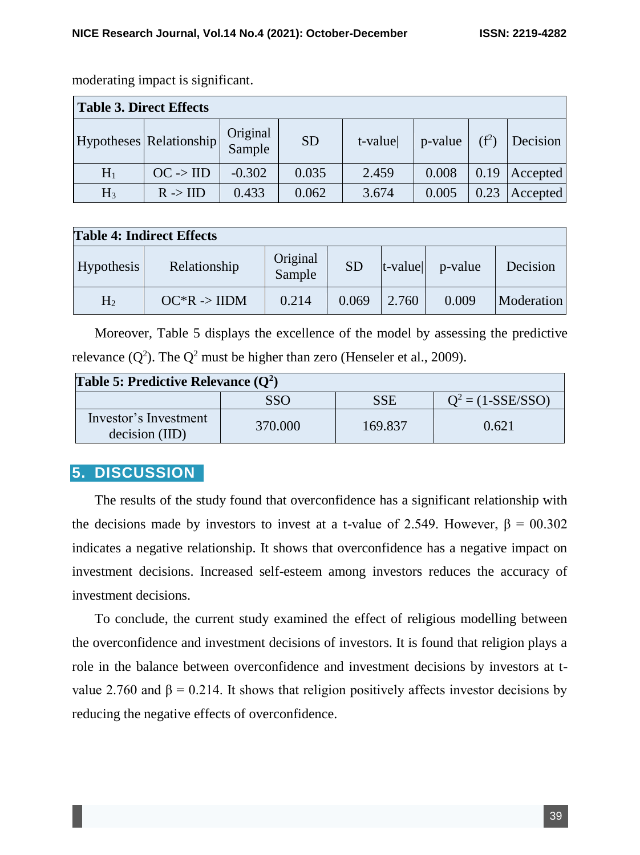| <b>Table 3. Direct Effects</b> |                         |                    |           |         |         |         |          |
|--------------------------------|-------------------------|--------------------|-----------|---------|---------|---------|----------|
|                                | Hypotheses Relationship | Original<br>Sample | <b>SD</b> | t-value | p-value | $(f^2)$ | Decision |
| $H_1$                          | $OC \rightarrow IID$    | $-0.302$           | 0.035     | 2.459   | 0.008   | 0.19    | Accepted |
| $H_3$                          | $R \rightarrow HD$      | 0.433              | 0.062     | 3.674   | 0.005   | 0.23    | Accepted |

moderating impact is significant.

| <b>Table 4: Indirect Effects</b> |                         |                    |           |            |         |            |
|----------------------------------|-------------------------|--------------------|-----------|------------|---------|------------|
| Hypothesis                       | Relationship            | Original<br>Sample | <b>SD</b> | $t$ -value | p-value | Decision   |
| H <sub>2</sub>                   | $OC^*R \rightarrow HDM$ | 0.214              | 0.069     | 2.760      | 0.009   | Moderation |

Moreover, Table 5 displays the excellence of the model by assessing the predictive relevance  $(Q^2)$ . The  $Q^2$  must be higher than zero (Henseler et al., 2009).

| Table 5: Predictive Relevance $(Q^2)$   |         |         |                     |  |  |
|-----------------------------------------|---------|---------|---------------------|--|--|
|                                         | SSO     | SSE     | $Q^2 = (1-SSE/SSO)$ |  |  |
| Investor's Investment<br>decision (IID) | 370.000 | 169.837 | 0.621               |  |  |

## **5. DISCUSSION**

The results of the study found that overconfidence has a significant relationship with the decisions made by investors to invest at a t-value of 2.549. However,  $\beta = 00.302$ indicates a negative relationship. It shows that overconfidence has a negative impact on investment decisions. Increased self-esteem among investors reduces the accuracy of investment decisions.

To conclude, the current study examined the effect of religious modelling between the overconfidence and investment decisions of investors. It is found that religion plays a role in the balance between overconfidence and investment decisions by investors at tvalue 2.760 and  $\beta$  = 0.214. It shows that religion positively affects investor decisions by reducing the negative effects of overconfidence.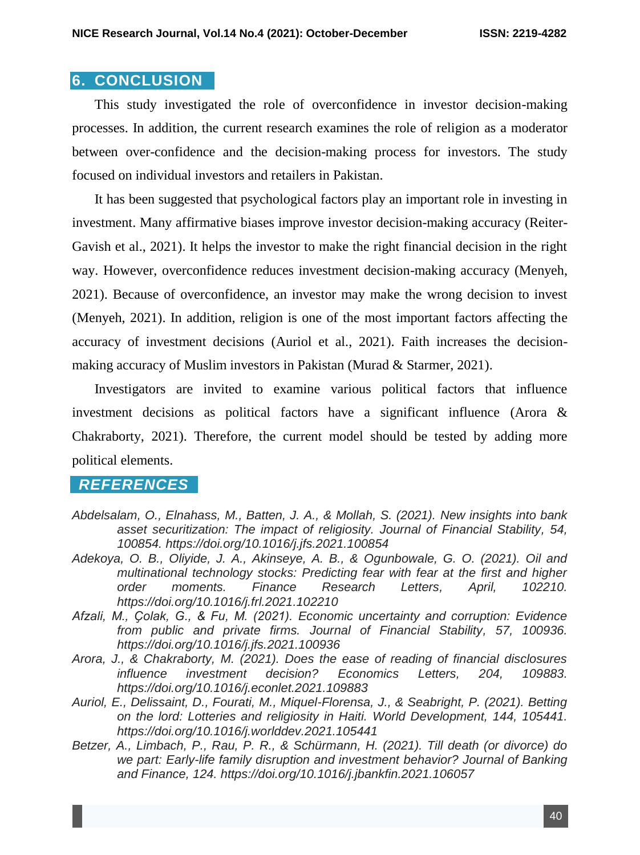#### **6. CONCLUSION**

This study investigated the role of overconfidence in investor decision-making processes. In addition, the current research examines the role of religion as a moderator between over-confidence and the decision-making process for investors. The study focused on individual investors and retailers in Pakistan.

It has been suggested that psychological factors play an important role in investing in investment. Many affirmative biases improve investor decision-making accuracy (Reiter-Gavish et al., 2021). It helps the investor to make the right financial decision in the right way. However, overconfidence reduces investment decision-making accuracy (Menyeh, 2021). Because of overconfidence, an investor may make the wrong decision to invest (Menyeh, 2021). In addition, religion is one of the most important factors affecting the accuracy of investment decisions (Auriol et al., 2021). Faith increases the decisionmaking accuracy of Muslim investors in Pakistan (Murad & Starmer, 2021).

Investigators are invited to examine various political factors that influence investment decisions as political factors have a significant influence (Arora & Chakraborty, 2021). Therefore, the current model should be tested by adding more political elements.

## *REFERENCES*

- *Abdelsalam, O., Elnahass, M., Batten, J. A., & Mollah, S. (2021). New insights into bank asset securitization: The impact of religiosity. Journal of Financial Stability, 54, 100854. https://doi.org/10.1016/j.jfs.2021.100854*
- *Adekoya, O. B., Oliyide, J. A., Akinseye, A. B., & Ogunbowale, G. O. (2021). Oil and multinational technology stocks: Predicting fear with fear at the first and higher order moments. Finance Research Letters, April, 102210. https://doi.org/10.1016/j.frl.2021.102210*
- *Afzali, M., Ҫolak, G., & Fu, M. (2021). Economic uncertainty and corruption: Evidence from public and private firms. Journal of Financial Stability, 57, 100936. https://doi.org/10.1016/j.jfs.2021.100936*
- *Arora, J., & Chakraborty, M. (2021). Does the ease of reading of financial disclosures influence investment decision? Economics Letters, 204, 109883. https://doi.org/10.1016/j.econlet.2021.109883*
- *Auriol, E., Delissaint, D., Fourati, M., Miquel-Florensa, J., & Seabright, P. (2021). Betting on the lord: Lotteries and religiosity in Haiti. World Development, 144, 105441. https://doi.org/10.1016/j.worlddev.2021.105441*
- *Betzer, A., Limbach, P., Rau, P. R., & Schürmann, H. (2021). Till death (or divorce) do we part: Early-life family disruption and investment behavior? Journal of Banking and Finance, 124. https://doi.org/10.1016/j.jbankfin.2021.106057*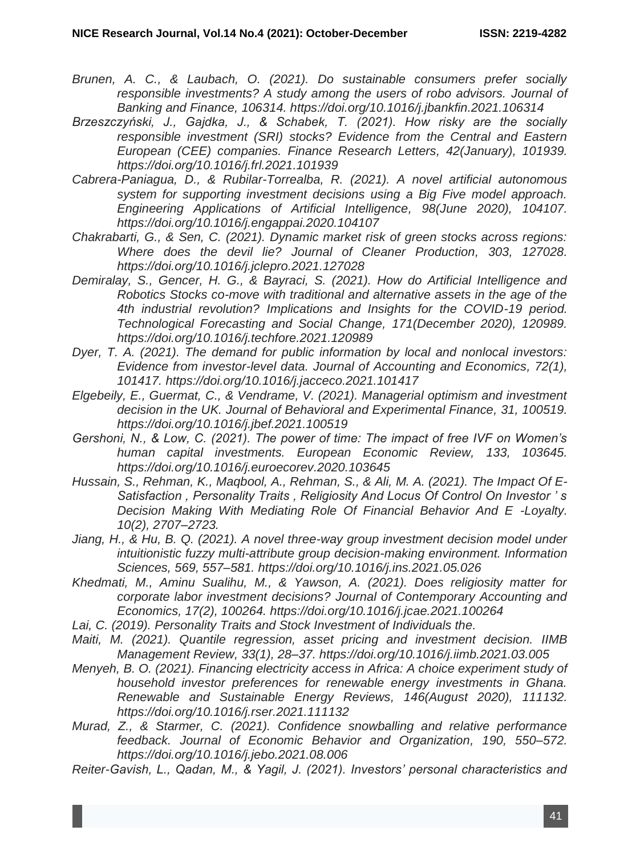- *Brunen, A. C., & Laubach, O. (2021). Do sustainable consumers prefer socially responsible investments? A study among the users of robo advisors. Journal of Banking and Finance, 106314. https://doi.org/10.1016/j.jbankfin.2021.106314*
- *Brzeszczyński, J., Gajdka, J., & Schabek, T. (2021). How risky are the socially responsible investment (SRI) stocks? Evidence from the Central and Eastern European (CEE) companies. Finance Research Letters, 42(January), 101939. https://doi.org/10.1016/j.frl.2021.101939*
- *Cabrera-Paniagua, D., & Rubilar-Torrealba, R. (2021). A novel artificial autonomous system for supporting investment decisions using a Big Five model approach. Engineering Applications of Artificial Intelligence, 98(June 2020), 104107. https://doi.org/10.1016/j.engappai.2020.104107*
- *Chakrabarti, G., & Sen, C. (2021). Dynamic market risk of green stocks across regions: Where does the devil lie? Journal of Cleaner Production, 303, 127028. https://doi.org/10.1016/j.jclepro.2021.127028*
- *Demiralay, S., Gencer, H. G., & Bayraci, S. (2021). How do Artificial Intelligence and Robotics Stocks co-move with traditional and alternative assets in the age of the 4th industrial revolution? Implications and Insights for the COVID-19 period. Technological Forecasting and Social Change, 171(December 2020), 120989. https://doi.org/10.1016/j.techfore.2021.120989*
- *Dyer, T. A. (2021). The demand for public information by local and nonlocal investors: Evidence from investor-level data. Journal of Accounting and Economics, 72(1), 101417. https://doi.org/10.1016/j.jacceco.2021.101417*
- *Elgebeily, E., Guermat, C., & Vendrame, V. (2021). Managerial optimism and investment decision in the UK. Journal of Behavioral and Experimental Finance, 31, 100519. https://doi.org/10.1016/j.jbef.2021.100519*
- *Gershoni, N., & Low, C. (2021). The power of time: The impact of free IVF on Women's human capital investments. European Economic Review, 133, 103645. https://doi.org/10.1016/j.euroecorev.2020.103645*
- *Hussain, S., Rehman, K., Maqbool, A., Rehman, S., & Ali, M. A. (2021). The Impact Of E-Satisfaction , Personality Traits , Religiosity And Locus Of Control On Investor ' s Decision Making With Mediating Role Of Financial Behavior And E -Loyalty. 10(2), 2707–2723.*
- *Jiang, H., & Hu, B. Q. (2021). A novel three-way group investment decision model under intuitionistic fuzzy multi-attribute group decision-making environment. Information Sciences, 569, 557–581. https://doi.org/10.1016/j.ins.2021.05.026*
- *Khedmati, M., Aminu Sualihu, M., & Yawson, A. (2021). Does religiosity matter for corporate labor investment decisions? Journal of Contemporary Accounting and Economics, 17(2), 100264. https://doi.org/10.1016/j.jcae.2021.100264*
- *Lai, C. (2019). Personality Traits and Stock Investment of Individuals the.*
- *Maiti, M. (2021). Quantile regression, asset pricing and investment decision. IIMB Management Review, 33(1), 28–37. https://doi.org/10.1016/j.iimb.2021.03.005*
- *Menyeh, B. O. (2021). Financing electricity access in Africa: A choice experiment study of household investor preferences for renewable energy investments in Ghana. Renewable and Sustainable Energy Reviews, 146(August 2020), 111132. https://doi.org/10.1016/j.rser.2021.111132*
- *Murad, Z., & Starmer, C. (2021). Confidence snowballing and relative performance feedback. Journal of Economic Behavior and Organization, 190, 550–572. https://doi.org/10.1016/j.jebo.2021.08.006*
- *Reiter-Gavish, L., Qadan, M., & Yagil, J. (2021). Investors' personal characteristics and*